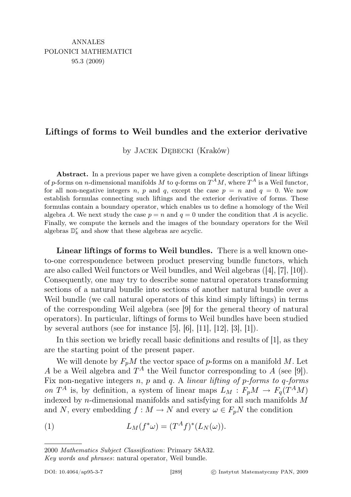## Liftings of forms to Weil bundles and the exterior derivative

by Jacek Dębecki (Kraków)

Abstract. In a previous paper we have given a complete description of linear liftings of p-forms on n-dimensional manifolds M to q-forms on  $T^A M$ , where  $T^A$  is a Weil functor, for all non-negative integers n, p and q, except the case  $p = n$  and  $q = 0$ . We now establish formulas connecting such liftings and the exterior derivative of forms. These formulas contain a boundary operator, which enables us to define a homology of the Weil algebra A. We next study the case  $p = n$  and  $q = 0$  under the condition that A is acyclic. Finally, we compute the kernels and the images of the boundary operators for the Weil algebras  $\mathbb{D}_k^r$  and show that these algebras are acyclic.

Linear liftings of forms to Weil bundles. There is a well known oneto-one correspondence between product preserving bundle functors, which are also called Weil functors or Weil bundles, and Weil algebras ([4], [7], [10]). Consequently, one may try to describe some natural operators transforming sections of a natural bundle into sections of another natural bundle over a Weil bundle (we call natural operators of this kind simply liftings) in terms of the corresponding Weil algebra (see [9] for the general theory of natural operators). In particular, liftings of forms to Weil bundles have been studied by several authors (see for instance  $[5]$ ,  $[6]$ ,  $[11]$ ,  $[12]$ ,  $[3]$ ,  $[1]$ ).

In this section we briefly recall basic definitions and results of [1], as they are the starting point of the present paper.

We will denote by  $F_pM$  the vector space of p-forms on a manifold M. Let A be a Weil algebra and  $T^A$  the Weil functor corresponding to A (see [9]). Fix non-negative integers  $n$ ,  $p$  and  $q$ . A linear lifting of  $p$ -forms to  $q$ -forms on  $T^A$  is, by definition, a system of linear maps  $L_M : F_pM \to F_q(T^AM)$ indexed by *n*-dimensional manifolds and satisfying for all such manifolds  $M$ and N, every embedding  $f : M \to N$  and every  $\omega \in F_pN$  the condition

(1) 
$$
L_M(f^*\omega) = (T^A f)^*(L_N(\omega)).
$$

2000 Mathematics Subject Classification: Primary 58A32.

Key words and phrases: natural operator, Weil bundle.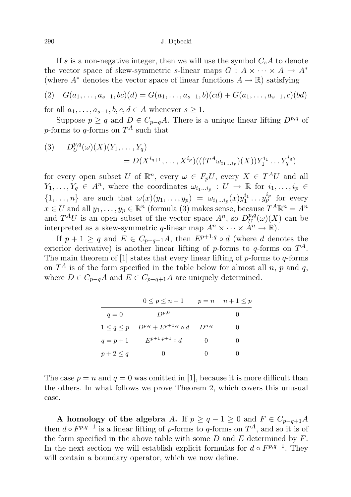If s is a non-negative integer, then we will use the symbol  $C_sA$  to denote the vector space of skew-symmetric s-linear maps  $G: A \times \cdots \times A \rightarrow A^*$ (where  $A^*$  denotes the vector space of linear functions  $A \to \mathbb{R}$ ) satisfying

$$
(2) \quad G(a_1,\ldots,a_{s-1},bc)(d) = G(a_1,\ldots,a_{s-1},b)(cd) + G(a_1,\ldots,a_{s-1},c)(bd)
$$

for all  $a_1, \ldots, a_{s-1}, b, c, d \in A$  whenever  $s \geq 1$ .

Suppose  $p \geq q$  and  $D \in C_{p-q}A$ . There is a unique linear lifting  $D^{p,q}$  of *p*-forms to *q*-forms on  $T^A$  such that

(3) 
$$
D_{U}^{p,q}(\omega)(X)(Y_{1},...,Y_{q}) = D(X^{i_{q+1}},...,X^{i_{p}})((T^{A}\omega_{i_{1}...i_{p}})(X))Y_{1}^{i_{1}}...Y_{q}^{i_{q}})
$$

for every open subset U of  $\mathbb{R}^n$ , every  $\omega \in F_pU$ , every  $X \in T^AU$  and all  $Y_1, \ldots, Y_q \in A^n$ , where the coordinates  $\omega_{i_1 \ldots i_p} : U \to \mathbb{R}$  for  $i_1, \ldots, i_p \in$  $\{1,\ldots,n\}$  are such that  $\omega(x)(y_1,\ldots,y_p) = \omega_{i_1\ldots i_p}(x)y_1^{i_1}\ldots y_p^{i_p}$  for every  $x \in U$  and all  $y_1, \ldots, y_p \in \mathbb{R}^n$  (formula (3) makes sense, because  $T^A \mathbb{R}^n = A^n$ and  $T^{A}U$  is an open subset of the vector space  $A^{n}$ , so  $D_{U}^{p,q}$  $U^{p,q}(\omega)(X)$  can be interpreted as a skew-symmetric q-linear map  $A^n \times \cdots \times \tilde{A}^n \to \mathbb{R}$ ).

If  $p + 1 \geq q$  and  $E \in C_{p-q+1}A$ , then  $E^{p+1,q} \circ d$  (where d denotes the exterior derivative) is another linear lifting of p-forms to q-forms on  $T^A$ . The main theorem of [1] states that every linear lifting of  $p$ -forms to  $q$ -forms on  $T^A$  is of the form specified in the table below for almost all n, p and q, where  $D \in C_{p-q}A$  and  $E \in C_{p-q+1}A$  are uniquely determined.

|                   | $0\leq p\leq n-1$          |              | $p = n \quad n+1 \leq p$ |
|-------------------|----------------------------|--------------|--------------------------|
| $q=0$             | $D^{p,0}$                  |              |                          |
| $1 \leq q \leq p$ | $D^{p,q}+E^{p+1,q}\circ d$ | $D^{n,q}$    | 0                        |
| $q = p + 1$       | $E^{p+1,p+1} \circ d$      | $\mathbf{0}$ | $\mathbf{0}$             |
| $p+2\leq q$       | $\theta$                   | $\mathbf{0}$ | $\mathbf{0}$             |

The case  $p = n$  and  $q = 0$  was omitted in [1], because it is more difficult than the others. In what follows we prove Theorem 2, which covers this unusual case.

A homology of the algebra A. If  $p \ge q - 1 \ge 0$  and  $F \in C_{p-q+1}A$ then  $d \circ F^{p,q-1}$  is a linear lifting of p-forms to q-forms on  $T^A$ , and so it is of the form specified in the above table with some  $D$  and  $E$  determined by  $F$ . In the next section we will establish explicit formulas for  $d \circ F^{p,q-1}$ . They will contain a boundary operator, which we now define.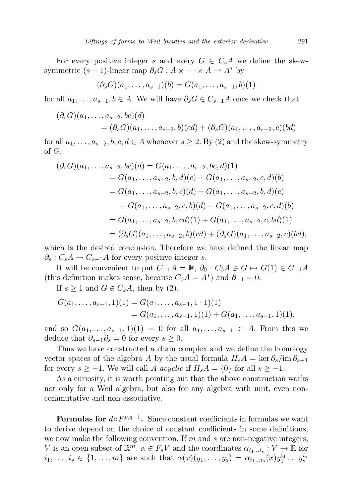For every positive integer s and every  $G \in C_sA$  we define the skewsymmetric  $(s - 1)$ -linear map  $\partial_s G : A \times \cdots \times A \to A^*$  by

$$
(\partial_s G)(a_1, \ldots, a_{s-1})(b) = G(a_1, \ldots, a_{s-1}, b)(1)
$$

for all  $a_1, \ldots, a_{s-1}, b \in A$ . We will have  $\partial_s G \in C_{s-1}A$  once we check that

$$
(\partial_s G)(a_1, ..., a_{s-2}, bc)(d)
$$
  
=  $(\partial_s G)(a_1, ..., a_{s-2}, b)(cd) + (\partial_s G)(a_1, ..., a_{s-2}, c)(bd)$ 

for all  $a_1, \ldots, a_{s-2}, b, c, d \in A$  whenever  $s \geq 2$ . By (2) and the skew-symmetry of G,

$$
(\partial_s G)(a_1, \ldots, a_{s-2}, bc)(d) = G(a_1, \ldots, a_{s-2}, bc, d)(1)
$$
  
=  $G(a_1, \ldots, a_{s-2}, b, d)(c) + G(a_1, \ldots, a_{s-2}, c, d)(b)$   
=  $G(a_1, \ldots, a_{s-2}, b, c)(d) + G(a_1, \ldots, a_{s-2}, b, d)(c)$   
+  $G(a_1, \ldots, a_{s-2}, c, b)(d) + G(a_1, \ldots, a_{s-2}, c, d)(b)$   
=  $G(a_1, \ldots, a_{s-2}, b, cd)(1) + G(a_1, \ldots, a_{s-2}, c, bd)(1)$   
=  $(\partial_s G)(a_1, \ldots, a_{s-2}, b)(cd) + (\partial_s G)(a_1, \ldots, a_{s-2}, c)(bd),$ 

which is the desired conclusion. Therefore we have defined the linear map  $\partial_s$ :  $C_sA \rightarrow C_{s-1}A$  for every positive integer s.

It will be convenient to put  $C_{-1}A = \mathbb{R}$ ,  $\partial_0 : C_0A \ni G \mapsto G(1) \in C_{-1}A$ (this definition makes sense, because  $C_0A = A^*$ ) and  $\partial_{-1} = 0$ .

If  $s \geq 1$  and  $G \in C_sA$ , then by (2),

$$
G(a_1, \ldots, a_{s-1}, 1)(1) = G(a_1, \ldots, a_{s-1}, 1 \cdot 1)(1)
$$
  
=  $G(a_1, \ldots, a_{s-1}, 1)(1) + G(a_1, \ldots, a_{s-1}, 1)(1),$ 

and so  $G(a_1, \ldots, a_{s-1}, 1)(1) = 0$  for all  $a_1, \ldots, a_{s-1} \in A$ . From this we deduce that  $\partial_{s-1}\partial_s = 0$  for every  $s \geq 0$ .

Thus we have constructed a chain complex and we define the homology vector spaces of the algebra A by the usual formula  $H_sA = \ker \partial_s / \mathrm{im} \, \partial_{s+1}$ for every  $s \ge -1$ . We will call A acyclic if  $H_sA = \{0\}$  for all  $s \ge -1$ .

As a curiosity, it is worth pointing out that the above construction works not only for a Weil algebra, but also for any algebra with unit, even noncommutative and non-associative.

Formulas for  $d \circ F^{p,q-1}$ . Since constant coefficients in formulas we want to derive depend on the choice of constant coefficients in some definitions, we now make the following convention. If  $m$  and  $s$  are non-negative integers, V is an open subset of  $\mathbb{R}^m$ ,  $\alpha \in F_sV$  and the coordinates  $\alpha_{i_1...i_s}: V \to \mathbb{R}$  for  $i_1, \ldots, i_s \in \{1, \ldots, m\}$  are such that  $\alpha(x)(y_1, \ldots, y_s) = \alpha_{i_1 \ldots i_s}(x) y_1^{i_1} \ldots y_s^{i_s}$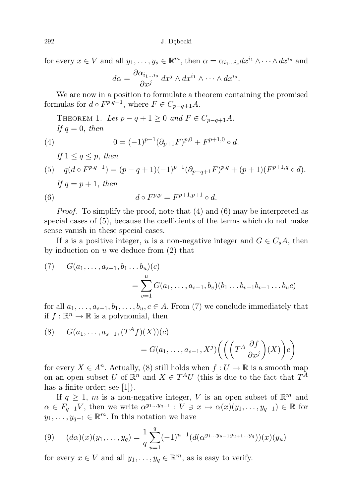for every  $x \in V$  and all  $y_1, \ldots, y_s \in \mathbb{R}^m$ , then  $\alpha = \alpha_{i_1...i_s} dx^{i_1} \wedge \cdots \wedge dx^{i_s}$  and

$$
d\alpha = \frac{\partial \alpha_{i_1 \dots i_s}}{\partial x^j} dx^j \wedge dx^{i_1} \wedge \dots \wedge dx^{i_s}.
$$

We are now in a position to formulate a theorem containing the promised formulas for  $d \circ F^{p,q-1}$ , where  $F \in C_{p-q+1}A$ .

THEOREM 1. Let 
$$
p - q + 1 \ge 0
$$
 and  $F \in C_{p-q+1}A$ .  
\nIf  $q = 0$ , then  
\n(4) 
$$
0 = (-1)^{p-1} (\partial_{p+1} F)^{p,0} + F^{p+1,0} \circ d.
$$
\nIf  $1 \le q \le p$ , then  
\n(5)  $q(d \circ F^{p,q-1}) = (p - q + 1)(-1)^{p-1} (\partial_{p-q+1} F)^{p,q} + (p + 1)(F^{p+1,q} \circ d).$   
\nIf  $q = p + 1$ , then

(6) 
$$
d \circ F^{p,p} = F^{p+1,p+1} \circ d.
$$

Proof. To simplify the proof, note that (4) and (6) may be interpreted as special cases of (5), because the coefficients of the terms which do not make sense vanish in these special cases.

If s is a positive integer, u is a non-negative integer and  $G \in C_sA$ , then by induction on  $u$  we deduce from  $(2)$  that

(7) 
$$
G(a_1, ..., a_{s-1}, b_1 ... b_u)(c)
$$
  
= 
$$
\sum_{v=1}^u G(a_1, ..., a_{s-1}, b_v)(b_1 ... b_{v-1}b_{v+1} ... b_u c)
$$

for all  $a_1, \ldots, a_{s-1}, b_1, \ldots, b_u, c \in A$ . From (7) we conclude immediately that if  $f : \mathbb{R}^n \to \mathbb{R}$  is a polynomial, then

(8) 
$$
G(a_1, ..., a_{s-1}, (T^A f)(X))(c)
$$

$$
= G(a_1, ..., a_{s-1}, X^j) \left( \left( \left( T^A \frac{\partial f}{\partial x^j} \right) (X) \right) c \right)
$$

for every  $X \in A^n$ . Actually, (8) still holds when  $f: U \to \mathbb{R}$  is a smooth map on an open subset U of  $\mathbb{R}^n$  and  $X \in T^A U$  (this is due to the fact that  $T^A$ has a finite order; see [1].

If  $q \geq 1$ , m is a non-negative integer, V is an open subset of  $\mathbb{R}^m$  and  $\alpha \in F_{q-1}V$ , then we write  $\alpha^{y_1...y_{q-1}} : V \ni x \mapsto \alpha(x)(y_1,..., y_{q-1}) \in \mathbb{R}$  for  $y_1, \ldots, y_{q-1} \in \mathbb{R}^m$ . In this notation we have

$$
(9) \quad (d\alpha)(x)(y_1,\ldots,y_q) = \frac{1}{q} \sum_{u=1}^q (-1)^{u-1} (d(\alpha^{y_1\ldots y_{u-1}y_{u+1}\ldots y_q}))(x)(y_u)
$$

for every  $x \in V$  and all  $y_1, \ldots, y_q \in \mathbb{R}^m$ , as is easy to verify.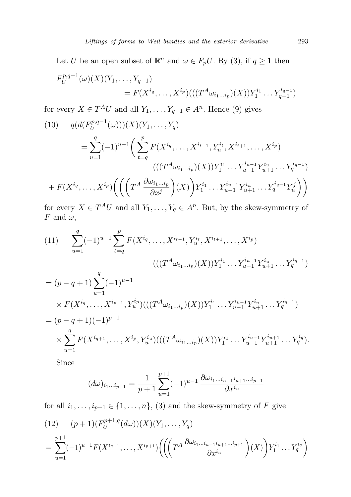Let U be an open subset of  $\mathbb{R}^n$  and  $\omega \in F_pU$ . By (3), if  $q \ge 1$  then

$$
F_U^{p,q-1}(\omega)(X)(Y_1,\ldots,Y_{q-1})
$$
  
=  $F(X^{i_q},\ldots,X^{i_p})(((T^A\omega_{i_1\ldots i_p})(X))Y_1^{i_1}\ldots Y_{q-1}^{i_{q-1}})$ 

for every  $X \in T^A U$  and all  $Y_1, \ldots, Y_{q-1} \in A^n$ . Hence (9) gives

(10) 
$$
q(d(F_U^{p,q-1}(\omega)))(X)(Y_1, ..., Y_q)
$$
  
\n
$$
= \sum_{u=1}^q (-1)^{u-1} \left( \sum_{t=q}^p F(X^{i_q}, ..., X^{i_{t-1}}, Y^{i_t}_u, X^{i_{t+1}}, ..., X^{i_p}) \right)
$$
  
\n
$$
(((T^A \omega_{i_1...i_p})(X))Y_1^{i_1} ... Y_{u-1}^{i_{u-1}} Y^{i_u}_{u+1} ... Y_q^{i_{q-1}})
$$
  
\n
$$
+ F(X^{i_q}, ..., X^{i_p}) \left( \left( \left( T^A \frac{\partial \omega_{i_1...i_p}}{\partial x^j} \right) (X) \right) Y_1^{i_1} ... Y_{u-1}^{i_{u-1}} Y^{i_u}_{u+1} ... Y_q^{i_{q-1}} Y_u^j \right) \right)
$$

for every  $X \in T^A U$  and all  $Y_1, \ldots, Y_q \in A^n$ . But, by the skew-symmetry of F and  $\omega$ ,

(11) 
$$
\sum_{u=1}^{q} (-1)^{u-1} \sum_{t=q}^{p} F(X^{i_q}, \dots, X^{i_{t-1}}, Y_u^{i_t}, X^{i_{t+1}}, \dots, X^{i_p})
$$

$$
(((T^A \omega_{i_1 \dots i_p})(X)) Y_1^{i_1} \dots Y_{u-1}^{i_{u-1}} Y_{u+1}^{i_u} \dots Y_q^{i_{q-1}})
$$

$$
= (p - q + 1) \sum_{u=1}^{q} (-1)^{u-1}
$$

$$
\overline{u=1}
$$
\n
$$
\times F(X^{i_q}, \dots, X^{i_{p-1}}, Y_u^{i_p})(((T^A \omega_{i_1 \dots i_p})(X))Y_1^{i_1} \dots Y_{u-1}^{i_{u-1}} Y_{u+1}^{i_u} \dots Y_q^{i_{q-1}})
$$
\n
$$
= (p - q + 1)(-1)^{p-1}
$$
\n
$$
\times \sum_{u=1}^q F(X^{i_{q+1}}, \dots, X^{i_p}, Y_u^{i_u})(((T^A \omega_{i_1 \dots i_p})(X))Y_1^{i_1} \dots Y_{u-1}^{i_{u-1}} Y_{u+1}^{i_{u+1}} \dots Y_q^{i_q}).
$$

Since

$$
(d\omega)_{i_1...i_{p+1}} = \frac{1}{p+1} \sum_{u=1}^{p+1} (-1)^{u-1} \frac{\partial \omega_{i_1...i_{u-1}i_{u+1}...i_{p+1}}}{\partial x^{i_u}}
$$

for all  $i_1, \ldots, i_{p+1} \in \{1, \ldots, n\}$ , (3) and the skew-symmetry of F give

$$
(12) \quad (p+1)(F_U^{p+1,q}(d\omega))(X)(Y_1,\ldots,Y_q)
$$
\n
$$
= \sum_{u=1}^{p+1} (-1)^{u-1} F(X^{i_{q+1}},\ldots,X^{i_{p+1}}) \left( \left( \left( T^A \frac{\partial \omega_{i_1\ldots i_{u-1}i_{u+1}\ldots i_{p+1}}}{\partial x^{i_u}} \right) (X) \right) Y_1^{i_1} \ldots Y_q^{i_q} \right)
$$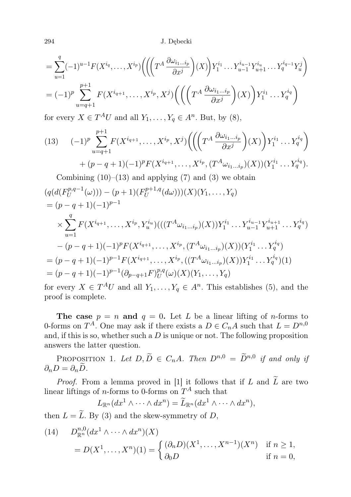294 J. Dębecki

$$
= \sum_{u=1}^{q} (-1)^{u-1} F(X^{i_q}, \dots, X^{i_p}) \left( \left( \left( T^A \frac{\partial \omega_{i_1 \dots i_p}}{\partial x^j} \right) (X) \right) Y_1^{i_1} \dots Y_{u-1}^{i_{u-1}} Y_{u+1}^{i_u} \dots Y_q^{i_{q-1}} Y_u^j \right) \right)
$$
  
=  $(-1)^p \sum_{u=q+1}^{p+1} F(X^{i_{q+1}}, \dots, X^{i_p}, X^j) \left( \left( \left( T^A \frac{\partial \omega_{i_1 \dots i_p}}{\partial x^j} \right) (X) \right) Y_1^{i_1} \dots Y_q^{i_q} \right)$ 

for every  $X \in T^A U$  and all  $Y_1, \ldots, Y_q \in A^n$ . But, by (8),

(13) 
$$
(-1)^p \sum_{u=q+1}^{p+1} F(X^{i_{q+1}}, \dots, X^{i_p}, X^j) \Big( \Big( \Big( T^A \frac{\partial \omega_{i_1 \dots i_p}}{\partial x^j} \Big) (X) \Big) Y_1^{i_1} \dots Y_q^{i_q} \Big) + (p-q+1)(-1)^p F(X^{i_{q+1}}, \dots, X^{i_p}, (T^A \omega_{i_1 \dots i_p})(X)) (Y_1^{i_1} \dots Y_q^{i_q}).
$$
  
Combining (10)–(13) and applying (7) and (3) we obtain

$$
(q(d(F_U^{p,q-1}(\omega))) - (p+1)(F_U^{p+1,q}(d\omega)))(X)(Y_1, ..., Y_q)
$$
  
=  $(p-q+1)(-1)^{p-1}$   

$$
\times \sum_{u=1}^q F(X^{i_{q+1}}, ..., X^{i_p}, Y_u^{i_u})(((T^A\omega_{i_1...i_p})(X))Y_1^{i_1}...Y_{u-1}^{i_{u-1}}Y_{u+1}^{i_{u+1}}...Y_q^{i_q})
$$

$$
-(p-q+1)(-1)^p F(X^{i_{q+1}}, ..., X^{i_p}, (T^A\omega_{i_1...i_p})(X))(Y_1^{i_1}...Y_q^{i_q})
$$

$$
= (p-q+1)(-1)^{p-1} F(X^{i_{q+1}}, ..., X^{i_p}, ((T^A\omega_{i_1...i_p})(X))Y_1^{i_1}...Y_q^{i_q})(1)
$$

$$
= (p-q+1)(-1)^{p-1} (\partial_{p-q+1}F)_{U}^{p,q}(\omega)(X)(Y_1, ..., Y_q)
$$

for every  $X \in T^A U$  and all  $Y_1, \ldots, Y_q \in A^n$ . This establishes (5), and the proof is complete.

The case  $p = n$  and  $q = 0$ . Let L be a linear lifting of n-forms to 0-forms on  $T^A$ . One may ask if there exists a  $D \in C_n A$  such that  $L = D^{n,0}$ and, if this is so, whether such a  $D$  is unique or not. The following proposition answers the latter question.

PROPOSITION 1. Let  $D, \widetilde{D} \in C_nA$ . Then  $D^{n,0} = \widetilde{D}^{n,0}$  if and only if  $\partial_n D = \partial_n \widetilde{D}$ .

*Proof.* From a lemma proved in [1] it follows that if L and  $\widetilde{L}$  are two linear liftings of *n*-forms to 0-forms on  $T^A$  such that

$$
L_{\mathbb{R}^n}(dx^1 \wedge \cdots \wedge dx^n) = \widetilde{L}_{\mathbb{R}^n}(dx^1 \wedge \cdots \wedge dx^n),
$$

then  $L = \tilde{L}$ . By (3) and the skew-symmetry of D,

(14) 
$$
D_{\mathbb{R}^n}^{n,0}(dx^1 \wedge \cdots \wedge dx^n)(X) = D(X^1, \ldots, X^n)(1) = \begin{cases} (\partial_n D)(X^1, \ldots, X^{n-1})(X^n) & \text{if } n \ge 1, \\ \partial_0 D & \text{if } n = 0, \end{cases}
$$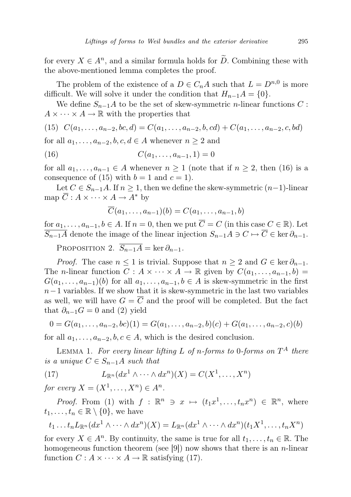for every  $X \in A^n$ , and a similar formula holds for  $\tilde{D}$ . Combining these with the above-mentioned lemma completes the proof.

The problem of the existence of a  $D \in C_n A$  such that  $L = D^{n,0}$  is more difficult. We will solve it under the condition that  $H_{n-1}A = \{0\}.$ 

We define  $S_{n-1}A$  to be the set of skew-symmetric *n*-linear functions C :  $A \times \cdots \times A \to \mathbb{R}$  with the properties that

(15) 
$$
C(a_1, \ldots, a_{n-2}, bc, d) = C(a_1, \ldots, a_{n-2}, b, cd) + C(a_1, \ldots, a_{n-2}, c, bd)
$$

for all  $a_1, \ldots, a_{n-2}, b, c, d \in A$  whenever  $n \geq 2$  and

(16) 
$$
C(a_1, \ldots, a_{n-1}, 1) = 0
$$

for all  $a_1, \ldots, a_{n-1} \in A$  whenever  $n \geq 1$  (note that if  $n \geq 2$ , then (16) is a consequence of (15) with  $b = 1$  and  $c = 1$ .

Let  $C \in S_{n-1}A$ . If  $n \geq 1$ , then we define the skew-symmetric  $(n-1)$ -linear map  $\overline{C}$  :  $A \times \cdots \times A \rightarrow A^*$  by

$$
\overline{C}(a_1,\ldots,a_{n-1})(b)=C(a_1,\ldots,a_{n-1},b)
$$

for  $a_1, \ldots, a_{n-1}, b \in A$ . If  $n = 0$ , then we put  $\overline{C} = C$  (in this case  $C \in \mathbb{R}$ ). Let  $\overline{S_{n-1}A}$  denote the image of the linear injection  $S_{n-1}A \ni C \mapsto \overline{C} \in \text{ker } \partial_{n-1}$ .

PROPOSITION 2.  $\overline{S_{n-1}A} = \ker \partial_{n-1}$ .

*Proof.* The case  $n \leq 1$  is trivial. Suppose that  $n \geq 2$  and  $G \in \text{ker } \partial_{n-1}$ . The *n*-linear function  $C : A \times \cdots \times A \rightarrow \mathbb{R}$  given by  $C(a_1, \ldots, a_{n-1}, b) =$  $G(a_1, \ldots, a_{n-1})(b)$  for all  $a_1, \ldots, a_{n-1}, b \in A$  is skew-symmetric in the first  $n-1$  variables. If we show that it is skew-symmetric in the last two variables as well, we will have  $G = \overline{C}$  and the proof will be completed. But the fact that  $\partial_{n-1}G = 0$  and (2) yield

$$
0 = G(a_1, \ldots, a_{n-2}, bc)(1) = G(a_1, \ldots, a_{n-2}, b)(c) + G(a_1, \ldots, a_{n-2}, c)(b)
$$

for all  $a_1, \ldots, a_{n-2}, b, c \in A$ , which is the desired conclusion.

LEMMA 1. For every linear lifting L of n-forms to 0-forms on  $T^A$  there is a unique  $C \in S_{n-1}A$  such that

(17) 
$$
L_{\mathbb{R}^n}(dx^1 \wedge \cdots \wedge dx^n)(X) = C(X^1, \ldots, X^n)
$$

for every  $X = (X^1, \ldots, X^n) \in A^n$ .

*Proof.* From (1) with  $f : \mathbb{R}^n \ni x \mapsto (t_1x^1, \dots, t_nx^n) \in \mathbb{R}^n$ , where  $t_1, \ldots, t_n \in \mathbb{R} \setminus \{0\}$ , we have

$$
t_1 \ldots t_n L_{\mathbb{R}^n}(dx^1 \wedge \cdots \wedge dx^n)(X) = L_{\mathbb{R}^n}(dx^1 \wedge \cdots \wedge dx^n)(t_1 X^1, \ldots, t_n X^n)
$$

for every  $X \in A^n$ . By continuity, the same is true for all  $t_1, \ldots, t_n \in \mathbb{R}$ . The homogeneous function theorem (see [9]) now shows that there is an *n*-linear function  $C: A \times \cdots \times A \rightarrow \mathbb{R}$  satisfying (17).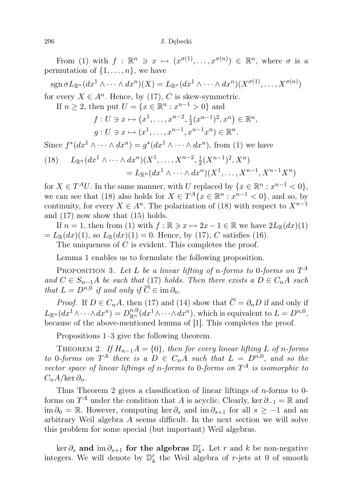From (1) with  $f : \mathbb{R}^n \ni x \mapsto (x^{\sigma(1)}, \dots, x^{\sigma(n)}) \in \mathbb{R}^n$ , where  $\sigma$  is a permutation of  $\{1, \ldots, n\}$ , we have

$$
\mathrm{sgn}\,\sigma L_{\mathbb{R}^n}(dx^1\wedge\cdots\wedge dx^n)(X)=L_{\mathbb{R}^n}(dx^1\wedge\cdots\wedge dx^n)(X^{\sigma(1)},\ldots,X^{\sigma(n)})
$$

for every  $X \in A^n$ . Hence, by (17), C is skew-symmetric.

If  $n \ge 2$ , then put  $U = \{x \in \mathbb{R}^n : x^{n-1} > 0\}$  and

$$
f: U \ni x \mapsto (x^1, \dots, x^{n-2}, \frac{1}{2}(x^{n-1})^2, x^n) \in \mathbb{R}^n,
$$
  

$$
g: U \ni x \mapsto (x^1, \dots, x^{n-1}, x^{n-1}x^n) \in \mathbb{R}^n.
$$

Since  $f^*(dx^1 \wedge \cdots \wedge dx^n) = g^*(dx^1 \wedge \cdots \wedge dx^n)$ , from (1) we have

(18) 
$$
L_{\mathbb{R}^n}(dx^1 \wedge \cdots \wedge dx^n)(X^1, \ldots, X^{n-2}, \frac{1}{2}(X^{n-1})^2, X^n) = L_{\mathbb{R}^n}(dx^1 \wedge \cdots \wedge dx^n)(X^1, \ldots, X^{n-1}, X^{n-1}X^n)
$$

for  $X \in T^A U$ . In the same manner, with U replaced by  $\{x \in \mathbb{R}^n : x^{n-1} < 0\},\$ we can see that (18) also holds for  $X \in T^A\{x \in \mathbb{R}^n : x^{n-1} < 0\}$ , and so, by continuity, for every  $X \in A^n$ . The polarization of (18) with respect to  $X^{n-1}$ and (17) now show that (15) holds.

If  $n = 1$ , then from (1) with  $f : \mathbb{R} \ni x \mapsto 2x - 1 \in \mathbb{R}$  we have  $2L_{\mathbb{R}}(dx)(1)$  $= L_{\mathbb{R}}(dx)(1)$ , so  $L_{\mathbb{R}}(dx)(1) = 0$ . Hence, by (17), C satisfies (16).

The uniqueness of C is evident. This completes the proof.

Lemma 1 enables us to formulate the following proposition.

PROPOSITION 3. Let L be a linear lifting of n-forms to 0-forms on  $T^A$ and  $C \in S_{n-1}A$  be such that (17) holds. Then there exists a  $D \in C_nA$  such that  $L = D^{n,0}$  if and only if  $\overline{C} \in \text{im } \partial_n$ .

*Proof.* If  $D \in C_nA$ , then (17) and (14) show that  $\overline{C} = \partial_n D$  if and only if  $L_{\mathbb{R}^n}(dx^1\wedge\cdots\wedge dx^n)=D_{\mathbb{R}^n}^{n,0}(dx^1\wedge\cdots\wedge dx^n)$ , which is equivalent to  $L=D^{n,0}$ , because of the above-mentioned lemma of [1]. This completes the proof.

Propositions 1–3 give the following theorem.

THEOREM 2. If  $H_{n-1}A = \{0\}$ , then for every linear lifting L of n-forms to 0-forms on  $T^A$  there is a  $D \in C_nA$  such that  $L = D^{n,0}$ , and so the vector space of linear liftings of n-forms to 0-forms on  $T^A$  is isomorphic to  $C_nA/\text{ker }\partial_n$ .

Thus Theorem 2 gives a classification of linear liftings of n-forms to 0 forms on  $T^A$  under the condition that A is acyclic. Clearly, ker  $\partial_{-1} = \mathbb{R}$  and im  $\partial_0 = \mathbb{R}$ . However, computing ker  $\partial_s$  and im  $\partial_{s+1}$  for all  $s \geq -1$  and an arbitrary Weil algebra A seems difficult. In the next section we will solve this problem for some special (but important) Weil algebras.

 $\ker \partial_s$  and  $\operatorname{im} \partial_{s+1}$  for the algebras  $\mathbb{D}_k^r$ . Let r and k be non-negative integers. We will denote by  $\mathbb{D}_k^r$  the Weil algebra of r-jets at 0 of smooth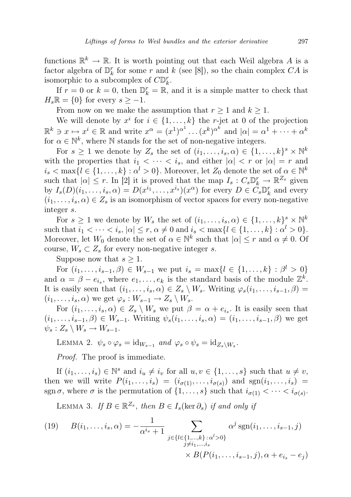functions  $\mathbb{R}^k \to \mathbb{R}$ . It is worth pointing out that each Weil algebra A is a factor algebra of  $\mathbb{D}_{k}^{r}$  for some r and k (see [8]), so the chain complex  $CA$  is isomorphic to a subcomplex of  $C\mathbb{D}_k^r$ .

If  $r = 0$  or  $k = 0$ , then  $\mathbb{D}_{k}^{r} = \mathbb{R}$ , and it is a simple matter to check that  $H_s\mathbb{R} = \{0\}$  for every  $s \geq -1$ .

From now on we make the assumption that  $r \geq 1$  and  $k \geq 1$ .

We will denote by  $x^i$  for  $i \in \{1, ..., k\}$  the r-jet at 0 of the projection  $\mathbb{R}^k \ni x \mapsto x^i \in \mathbb{R}$  and write  $x^{\alpha} = (x^1)^{\alpha^1} \dots (x^k)^{\alpha^k}$  and  $|\alpha| = \alpha^1 + \dots + \alpha^k$ for  $\alpha \in \mathbb{N}^k$ , where  $\mathbb N$  stands for the set of non-negative integers.

For  $s \geq 1$  we denote by  $Z_s$  the set of  $(i_1, \ldots, i_s, \alpha) \in \{1, \ldots, k\}^s \times \mathbb{N}^k$ with the properties that  $i_1 < \cdots < i_s$ , and either  $|\alpha| < r$  or  $|\alpha| = r$  and  $i_s < \max\{l \in \{1, \ldots, k\} : \alpha^l > 0\}$ . Moreover, let  $Z_0$  denote the set of  $\alpha \in \mathbb{N}^k$ such that  $|\alpha| \leq r$ . In [2] it is proved that the map  $I_s : C_s \mathbb{D}_k^r \to \mathbb{R}^{Z_s}$  given by  $I_s(D)(i_1,\ldots,i_s,\alpha) = D(x^{i_1},\ldots,x^{i_s})(x^{\alpha})$  for every  $D \in C_s \mathbb{D}_k^r$  and every  $(i_1, \ldots, i_s, \alpha) \in \mathbb{Z}_s$  is an isomorphism of vector spaces for every non-negative integer s.

For  $s \geq 1$  we denote by  $W_s$  the set of  $(i_1, \ldots, i_s, \alpha) \in \{1, \ldots, k\}^s \times \mathbb{N}^k$ such that  $i_1 < \cdots < i_s, |\alpha| \le r, \alpha \ne 0$  and  $i_s < \max\{l \in \{1, \ldots, k\} : \alpha^l > 0\}.$ Moreover, let  $W_0$  denote the set of  $\alpha \in \mathbb{N}^k$  such that  $|\alpha| \leq r$  and  $\alpha \neq 0$ . Of course,  $W_s \subset Z_s$  for every non-negative integer s.

Suppose now that  $s \geq 1$ .

For  $(i_1, \ldots, i_{s-1}, \beta) \in W_{s-1}$  we put  $i_s = \max\{l \in \{1, \ldots, k\} : \beta^l > 0\}$ and  $\alpha = \beta - e_{i_s}$ , where  $e_1, \ldots, e_k$  is the standard basis of the module  $\mathbb{Z}^k$ . It is easily seen that  $(i_1, \ldots, i_s, \alpha) \in Z_s \setminus W_s$ . Writing  $\varphi_s(i_1, \ldots, i_{s-1}, \beta) =$  $(i_1, \ldots, i_s, \alpha)$  we get  $\varphi_s : W_{s-1} \to Z_s \setminus W_s$ .

For  $(i_1, \ldots, i_s, \alpha) \in Z_s \setminus W_s$  we put  $\beta = \alpha + e_{i_s}$ . It is easily seen that  $(i_1, \ldots, i_{s-1}, \beta) \in W_{s-1}$ . Writing  $\psi_s(i_1, \ldots, i_s, \alpha) = (i_1, \ldots, i_{s-1}, \beta)$  we get  $\psi_s: Z_s \setminus W_s \to W_{s-1}.$ 

LEMMA 2.  $\psi_s \circ \varphi_s = \text{id}_{W_{s-1}}$  and  $\varphi_s \circ \psi_s = \text{id}_{Z_s \setminus W_s}$ .

Proof. The proof is immediate.

If  $(i_1, \ldots, i_s) \in \mathbb{N}^s$  and  $i_u \neq i_v$  for all  $u, v \in \{1, \ldots, s\}$  such that  $u \neq v$ , then we will write  $P(i_1,\ldots,i_s) = (i_{\sigma(1)},\ldots,i_{\sigma(s)})$  and  $sgn(i_1,\ldots,i_s)$ sgn  $\sigma$ , where  $\sigma$  is the permutation of  $\{1, \ldots, s\}$  such that  $i_{\sigma(1)} < \cdots < i_{\sigma(s)}$ .

LEMMA 3. If  $B \in \mathbb{R}^{Z_s}$ , then  $B \in I_s(\ker \partial_s)$  if and only if

(19) 
$$
B(i_1, ..., i_s, \alpha) = -\frac{1}{\alpha^{i_s} + 1} \sum_{\substack{j \in \{l \in \{1, ..., k\} : \alpha^l > 0\} \\ j \neq i_1, ..., i_s}} \alpha^j \operatorname{sgn}(i_1, ..., i_{s-1}, j) + \sum_{\substack{j \in \{l \in \{1, ..., k\} : \alpha^l > 0\} \\ \times B(P(i_1, ..., i_{s-1}, j), \alpha + e_{i_s} - e_j)}
$$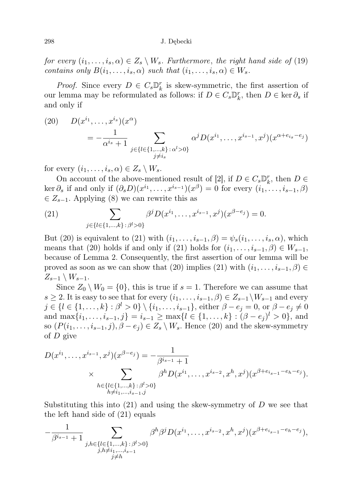298 J. Dębecki

for every  $(i_1, \ldots, i_s, \alpha) \in Z_s \setminus W_s$ . Furthermore, the right hand side of (19) contains only  $B(i_1, \ldots, i_s, \alpha)$  such that  $(i_1, \ldots, i_s, \alpha) \in W_s$ .

*Proof.* Since every  $D \in C_s \mathbb{D}_k^r$  is skew-symmetric, the first assertion of our lemma may be reformulated as follows: if  $D \in C_s \mathbb{D}_k^r$ , then  $D \in \text{ker } \partial_s$  if and only if

(20) 
$$
D(x^{i_1}, \ldots, x^{i_s})(x^{\alpha}) = -\frac{1}{\alpha^{i_s} + 1} \sum_{\substack{j \in \{l \in \{1, \ldots, k\} \, : \, \alpha^l > 0\} \\ j \neq i_s}} \alpha^j D(x^{i_1}, \ldots, x^{i_{s-1}}, x^j)(x^{\alpha + e_{i_s} - e_j})
$$

for every  $(i_1, \ldots, i_s, \alpha) \in Z_s \setminus W_s$ .

On account of the above-mentioned result of [2], if  $D \in C_s \mathbb{D}_k^r$ , then  $D \in$ ker  $\partial_s$  if and only if  $(\partial_s D)(x^{i_1}, \ldots, x^{i_{s-1}})(x^{\beta}) = 0$  for every  $(i_1, \ldots, i_{s-1}, \beta)$  $\in Z_{s-1}$ . Applying (8) we can rewrite this as

(21) 
$$
\sum_{j \in \{l \in \{1, ..., k\} \colon \beta^l > 0\}} \beta^j D(x^{i_1}, ..., x^{i_{s-1}}, x^j)(x^{\beta - e_j}) = 0.
$$

But (20) is equivalent to (21) with  $(i_1, \ldots, i_{s-1}, \beta) = \psi_s(i_1, \ldots, i_s, \alpha)$ , which means that (20) holds if and only if (21) holds for  $(i_1, \ldots, i_{s-1}, \beta) \in W_{s-1}$ , because of Lemma 2. Consequently, the first assertion of our lemma will be proved as soon as we can show that (20) implies (21) with  $(i_1, \ldots, i_{s-1}, \beta) \in$  $Z_{s-1} \setminus W_{s-1}.$ 

Since  $Z_0 \setminus W_0 = \{0\}$ , this is true if  $s = 1$ . Therefore we can assume that s ≥ 2. It is easy to see that for every  $(i_1, \ldots, i_{s-1}, \beta) \in Z_{s-1} \backslash W_{s-1}$  and every  $j \in \{l \in \{1, ..., k\} : \beta^l > 0\} \setminus \{i_1, ..., i_{s-1}\},\$ either  $\beta - e_j = 0, \text{ or } \beta - e_j \neq 0$ and  $\max\{i_1, \ldots, i_{s-1}, j\} = i_{s-1} \ge \max\{l \in \{1, \ldots, k\} : (\beta - e_j)^l > 0\}$ , and so  $(P(i_1, \ldots, i_{s-1}, j), \beta - e_j) \in Z_s \setminus W_s$ . Hence (20) and the skew-symmetry of D give

$$
D(x^{i_1}, \ldots, x^{i_{s-1}}, x^j)(x^{\beta - e_j}) = -\frac{1}{\beta^{i_{s-1}} + 1}
$$
  
\$\times \sum\_{\substack{h \in \{l \in \{1, \ldots, k\} : \beta^l > 0\} \\ h \neq i\_1, \ldots, i\_{s-1}, j}} \beta^h D(x^{i\_1}, \ldots, x^{i\_{s-2}}, x^h, x^j)(x^{\beta + e\_{i\_{s-1}} - e\_h - e\_j}).

Substituting this into  $(21)$  and using the skew-symmetry of D we see that the left hand side of (21) equals

$$
-\frac{1}{\beta^{i_{s-1}}+1} \sum_{\substack{j,h \in \{l \in \{1,\ldots,k\} \colon \beta^l > 0\} \\ j,h \neq i_1,\ldots,i_{s-1} \\ j \neq h}} \beta^h \beta^j D(x^{i_1},\ldots,x^{i_{s-2}},x^h,x^j)(x^{\beta+e_{i_{s-1}}-e_h-e_j}),
$$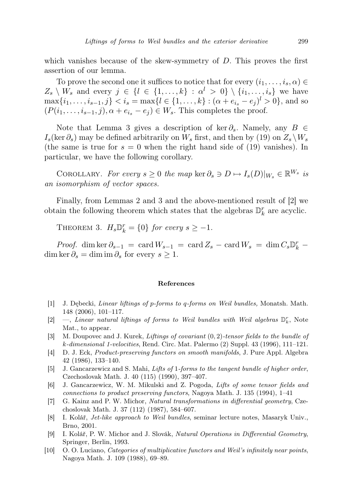which vanishes because of the skew-symmetry of  $D$ . This proves the first assertion of our lemma.

To prove the second one it suffices to notice that for every  $(i_1, \ldots, i_s, \alpha) \in$  $Z_s \setminus W_s$  and every  $j \in \{l \in \{1, ..., k\} : \alpha^l > 0\} \setminus \{i_1, ..., i_s\}$  we have  $\max\{i_1,\ldots,i_{s-1},j\} < i_s = \max\{l \in \{1,\ldots,k\} : (\alpha + e_{i_s} - e_j)^l > 0\}$ , and so  $(P(i_1, \ldots, i_{s-1}, j), \alpha + e_{i_s} - e_j) \in W_s$ . This completes the proof.

Note that Lemma 3 gives a description of ker  $\partial_s$ . Namely, any  $B \in$  $I_s(\ker \partial_s)$  may be defined arbitrarily on  $W_s$  first, and then by (19) on  $Z_s \backslash W_s$ (the same is true for  $s = 0$  when the right hand side of (19) vanishes). In particular, we have the following corollary.

COROLLARY. For every  $s \geq 0$  the map ker  $\partial_s \ni D \mapsto I_s(D)|_{W_s} \in \mathbb{R}^{W_s}$  is an isomorphism of vector spaces.

Finally, from Lemmas 2 and 3 and the above-mentioned result of [2] we obtain the following theorem which states that the algebras  $\mathbb{D}_k^r$  are acyclic.

THEOREM 3.  $H_s \mathbb{D}_k^r = \{0\}$  for every  $s \geq -1$ .

*Proof.* dim ker  $\partial_{s-1} = \text{card } W_{s-1} = \text{card } Z_s - \text{card } W_s = \dim C_s \mathbb{D}_k^r$ dim ker  $\partial_s = \dim \mathrm{im} \, \partial_s$  for every  $s \geq 1$ .

## References

- [1] J. Dębecki, Linear liftings of p-forms to q-forms on Weil bundles, Monatsh. Math. 148 (2006), 101–117.
- [2]  $-$ , Linear natural liftings of forms to Weil bundles with Weil algebras  $\mathbb{D}_k^r$ , Note Mat., to appear.
- [3] M. Doupovec and J. Kurek, Liftings of covariant (0, 2)-tensor fields to the bundle of k-dimensional 1-velocities, Rend. Circ. Mat. Palermo (2) Suppl. 43 (1996), 111–121.
- [4] D. J. Eck, Product-preserving functors on smooth manifolds, J. Pure Appl. Algebra 42 (1986), 133–140.
- [5] J. Gancarzewicz and S. Mahi, Lifts of 1-forms to the tangent bundle of higher order, Czechoslovak Math. J. 40 (115) (1990), 397–407.
- [6] J. Gancarzewicz, W. M. Mikulski and Z. Pogoda, Lifts of some tensor fields and connections to product preserving functors, Nagoya Math. J. 135 (1994), 1–41
- [7] G. Kainz and P. W. Michor, Natural transformations in differential geometry, Czechoslovak Math. J. 37 (112) (1987), 584–607.
- [8] I. Kolář, Jet-like approach to Weil bundles, seminar lecture notes, Masaryk Univ., Brno, 2001.
- [9] I. Kolář, P. W. Michor and J. Slovák, Natural Operations in Differential Geometry, Springer, Berlin, 1993.
- [10] O. O. Luciano, Categories of multiplicative functors and Weil's infinitely near points, Nagoya Math. J. 109 (1988), 69–89.